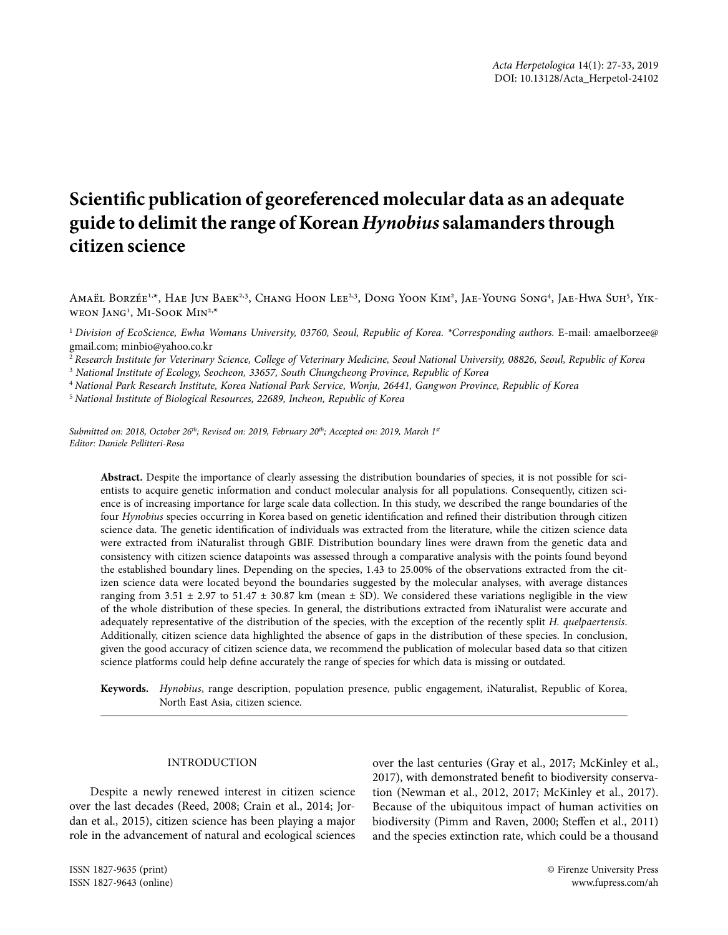# **Scientific publication of georeferenced molecular data as an adequate guide to delimit the range of Korean** *Hynobius* **salamanders through citizen science**

Amaël Borzée<sup>1,x</sup>, Hae Jun Baek<sup>2,3</sup>, Chang Hoon Lee<sup>2,3</sup>, Dong Yoon Kim<sup>2</sup>, Jae-Young Song<sup>4</sup>, Jae-Hwa Suh<sup>5</sup>, Yikweon Jang1 , Mi-Sook Min2,\*

<sup>1</sup> Division of EcoScience, Ewha Womans University, 03760, Seoul, Republic of Korea. \*Corresponding authors. E-mail: amaelborzee@ gmail.com; minbio@yahoo.co.kr

<sup>2</sup> *Research Institute for Veterinary Science, College of Veterinary Medicine, Seoul National University, 08826, Seoul, Republic of Korea*

3  *National Institute of Ecology, Seocheon, 33657, South Chungcheong Province, Republic of Korea*

<sup>4</sup> *National Park Research Institute, Korea National Park Service, Wonju, 26441, Gangwon Province, Republic of Korea* 

<sup>5</sup> *National Institute of Biological Resources, 22689, Incheon, Republic of Korea*

*Submitted on: 2018, October 26th; Revised on: 2019, February 20th; Accepted on: 2019, March 1st Editor: Daniele Pellitteri-Rosa*

**Abstract.** Despite the importance of clearly assessing the distribution boundaries of species, it is not possible for scientists to acquire genetic information and conduct molecular analysis for all populations. Consequently, citizen science is of increasing importance for large scale data collection. In this study, we described the range boundaries of the four *Hynobius* species occurring in Korea based on genetic identification and refined their distribution through citizen science data. The genetic identification of individuals was extracted from the literature, while the citizen science data were extracted from iNaturalist through GBIF. Distribution boundary lines were drawn from the genetic data and consistency with citizen science datapoints was assessed through a comparative analysis with the points found beyond the established boundary lines. Depending on the species, 1.43 to 25.00% of the observations extracted from the citizen science data were located beyond the boundaries suggested by the molecular analyses, with average distances ranging from 3.51  $\pm$  2.97 to 51.47  $\pm$  30.87 km (mean  $\pm$  SD). We considered these variations negligible in the view of the whole distribution of these species. In general, the distributions extracted from iNaturalist were accurate and adequately representative of the distribution of the species, with the exception of the recently split *H. quelpaertensis*. Additionally, citizen science data highlighted the absence of gaps in the distribution of these species. In conclusion, given the good accuracy of citizen science data, we recommend the publication of molecular based data so that citizen science platforms could help define accurately the range of species for which data is missing or outdated.

**Keywords.** *Hynobius*, range description, population presence, public engagement, iNaturalist, Republic of Korea, North East Asia, citizen science.

# INTRODUCTION

Despite a newly renewed interest in citizen science over the last decades (Reed, 2008; Crain et al., 2014; Jordan et al., 2015), citizen science has been playing a major role in the advancement of natural and ecological sciences

over the last centuries (Gray et al., 2017; McKinley et al., 2017), with demonstrated benefit to biodiversity conservation (Newman et al., 2012, 2017; McKinley et al., 2017). Because of the ubiquitous impact of human activities on biodiversity (Pimm and Raven, 2000; Steffen et al., 2011) and the species extinction rate, which could be a thousand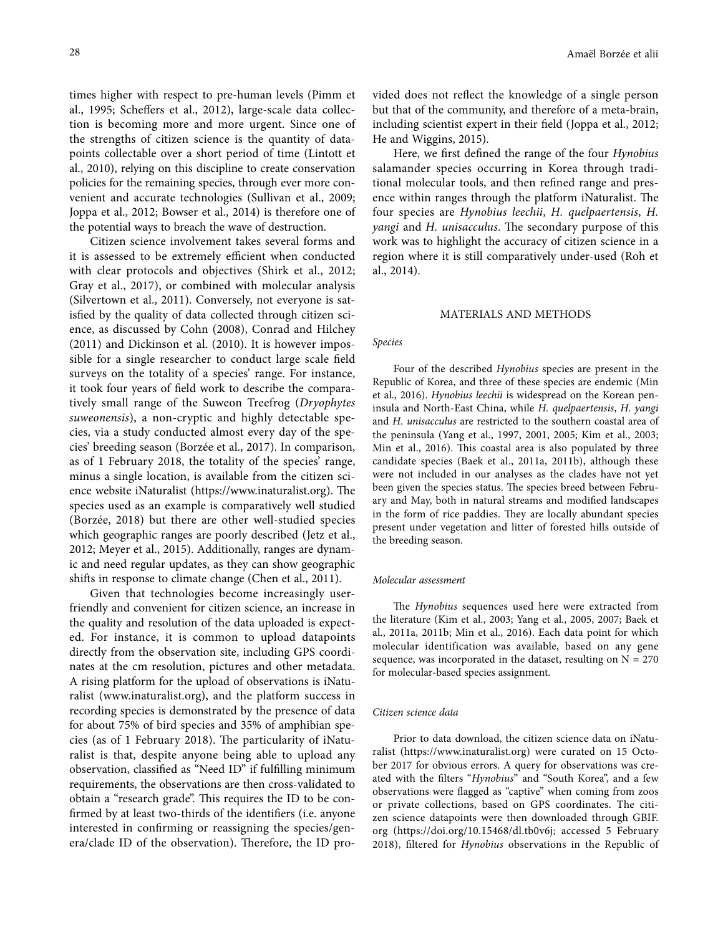times higher with respect to pre-human levels (Pimm et al., 1995; Scheffers et al., 2012), large-scale data collection is becoming more and more urgent. Since one of the strengths of citizen science is the quantity of datapoints collectable over a short period of time (Lintott et al., 2010), relying on this discipline to create conservation policies for the remaining species, through ever more convenient and accurate technologies (Sullivan et al., 2009; Joppa et al., 2012; Bowser et al., 2014) is therefore one of the potential ways to breach the wave of destruction.

Citizen science involvement takes several forms and it is assessed to be extremely efficient when conducted with clear protocols and objectives (Shirk et al., 2012; Gray et al., 2017), or combined with molecular analysis (Silvertown et al., 2011). Conversely, not everyone is satisfied by the quality of data collected through citizen science, as discussed by Cohn (2008), Conrad and Hilchey (2011) and Dickinson et al. (2010). It is however impossible for a single researcher to conduct large scale field surveys on the totality of a species' range. For instance, it took four years of field work to describe the comparatively small range of the Suweon Treefrog (*Dryophytes suweonensis*), a non-cryptic and highly detectable species, via a study conducted almost every day of the species' breeding season (Borzée et al., 2017). In comparison, as of 1 February 2018, the totality of the species' range, minus a single location, is available from the citizen science website iNaturalist (https://www.inaturalist.org). The species used as an example is comparatively well studied (Borzée, 2018) but there are other well-studied species which geographic ranges are poorly described (Jetz et al., 2012; Meyer et al., 2015). Additionally, ranges are dynamic and need regular updates, as they can show geographic shifts in response to climate change (Chen et al., 2011).

Given that technologies become increasingly userfriendly and convenient for citizen science, an increase in the quality and resolution of the data uploaded is expected. For instance, it is common to upload datapoints directly from the observation site, including GPS coordinates at the cm resolution, pictures and other metadata. A rising platform for the upload of observations is iNaturalist (www.inaturalist.org), and the platform success in recording species is demonstrated by the presence of data for about 75% of bird species and 35% of amphibian species (as of 1 February 2018). The particularity of iNaturalist is that, despite anyone being able to upload any observation, classified as "Need ID" if fulfilling minimum requirements, the observations are then cross-validated to obtain a "research grade". This requires the ID to be confirmed by at least two-thirds of the identifiers (i.e. anyone interested in confirming or reassigning the species/genera/clade ID of the observation). Therefore, the ID provided does not reflect the knowledge of a single person but that of the community, and therefore of a meta-brain, including scientist expert in their field (Joppa et al., 2012; He and Wiggins, 2015).

Here, we first defined the range of the four *Hynobius* salamander species occurring in Korea through traditional molecular tools, and then refined range and presence within ranges through the platform iNaturalist. The four species are *Hynobius leechii*, *H. quelpaertensis*, *H. yangi* and *H. unisacculus*. The secondary purpose of this work was to highlight the accuracy of citizen science in a region where it is still comparatively under-used (Roh et al., 2014).

## MATERIALS AND METHODS

#### *Species*

Four of the described *Hynobius* species are present in the Republic of Korea, and three of these species are endemic (Min et al., 2016). *Hynobius leechii* is widespread on the Korean peninsula and North-East China, while *H. quelpaertensis*, *H. yangi* and *H. unisacculus* are restricted to the southern coastal area of the peninsula (Yang et al., 1997, 2001, 2005; Kim et al., 2003; Min et al., 2016). This coastal area is also populated by three candidate species (Baek et al., 2011a, 2011b), although these were not included in our analyses as the clades have not yet been given the species status. The species breed between February and May, both in natural streams and modified landscapes in the form of rice paddies. They are locally abundant species present under vegetation and litter of forested hills outside of the breeding season.

## *Molecular assessment*

The *Hynobius* sequences used here were extracted from the literature (Kim et al., 2003; Yang et al., 2005, 2007; Baek et al., 2011a, 2011b; Min et al., 2016). Each data point for which molecular identification was available, based on any gene sequence, was incorporated in the dataset, resulting on  $N = 270$ for molecular-based species assignment.

# *Citizen science data*

Prior to data download, the citizen science data on iNaturalist (https://www.inaturalist.org) were curated on 15 October 2017 for obvious errors. A query for observations was created with the filters "*Hynobius*" and "South Korea", and a few observations were flagged as "captive" when coming from zoos or private collections, based on GPS coordinates. The citizen science datapoints were then downloaded through GBIF. org (https://doi.org/10.15468/dl.tb0v6j; accessed 5 February 2018), filtered for *Hynobius* observations in the Republic of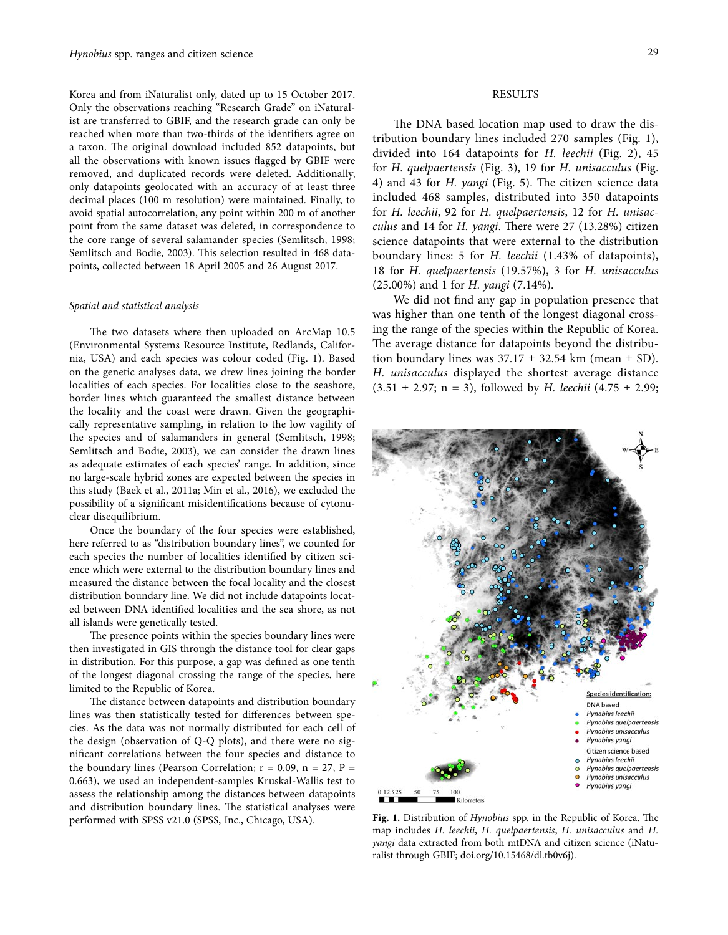Korea and from iNaturalist only, dated up to 15 October 2017. Only the observations reaching "Research Grade" on iNaturalist are transferred to GBIF, and the research grade can only be reached when more than two-thirds of the identifiers agree on a taxon. The original download included 852 datapoints, but all the observations with known issues flagged by GBIF were removed, and duplicated records were deleted. Additionally, only datapoints geolocated with an accuracy of at least three decimal places (100 m resolution) were maintained. Finally, to avoid spatial autocorrelation, any point within 200 m of another point from the same dataset was deleted, in correspondence to the core range of several salamander species (Semlitsch, 1998; Semlitsch and Bodie, 2003). This selection resulted in 468 datapoints, collected between 18 April 2005 and 26 August 2017.

#### *Spatial and statistical analysis*

The two datasets where then uploaded on ArcMap 10.5 (Environmental Systems Resource Institute, Redlands, California, USA) and each species was colour coded (Fig. 1). Based on the genetic analyses data, we drew lines joining the border localities of each species. For localities close to the seashore, border lines which guaranteed the smallest distance between the locality and the coast were drawn. Given the geographically representative sampling, in relation to the low vagility of the species and of salamanders in general (Semlitsch, 1998; Semlitsch and Bodie, 2003), we can consider the drawn lines as adequate estimates of each species' range. In addition, since no large-scale hybrid zones are expected between the species in this study (Baek et al., 2011a; Min et al., 2016), we excluded the possibility of a significant misidentifications because of cytonuclear disequilibrium.

Once the boundary of the four species were established, here referred to as "distribution boundary lines", we counted for each species the number of localities identified by citizen science which were external to the distribution boundary lines and measured the distance between the focal locality and the closest distribution boundary line. We did not include datapoints located between DNA identified localities and the sea shore, as not all islands were genetically tested.

The presence points within the species boundary lines were then investigated in GIS through the distance tool for clear gaps in distribution. For this purpose, a gap was defined as one tenth of the longest diagonal crossing the range of the species, here limited to the Republic of Korea.

The distance between datapoints and distribution boundary lines was then statistically tested for differences between species. As the data was not normally distributed for each cell of the design (observation of Q-Q plots), and there were no significant correlations between the four species and distance to the boundary lines (Pearson Correlation;  $r = 0.09$ ,  $n = 27$ ,  $P =$ 0.663), we used an independent-samples Kruskal-Wallis test to assess the relationship among the distances between datapoints and distribution boundary lines. The statistical analyses were performed with SPSS v21.0 (SPSS, Inc., Chicago, USA).

# RESULTS

The DNA based location map used to draw the distribution boundary lines included 270 samples (Fig. 1), divided into 164 datapoints for *H. leechii* (Fig. 2), 45 for *H. quelpaertensis* (Fig. 3), 19 for *H. unisacculus* (Fig. 4) and 43 for *H. yangi* (Fig. 5). The citizen science data included 468 samples, distributed into 350 datapoints for *H. leechii*, 92 for *H. quelpaertensis*, 12 for *H. unisacculus* and 14 for *H. yangi*. There were 27 (13.28%) citizen science datapoints that were external to the distribution boundary lines: 5 for *H. leechii* (1.43% of datapoints), 18 for *H. quelpaertensis* (19.57%), 3 for *H. unisacculus* (25.00%) and 1 for *H. yangi* (7.14%).

We did not find any gap in population presence that was higher than one tenth of the longest diagonal crossing the range of the species within the Republic of Korea. The average distance for datapoints beyond the distribution boundary lines was  $37.17 \pm 32.54$  km (mean  $\pm$  SD). *H. unisacculus* displayed the shortest average distance (3.51 ± 2.97; n = 3), followed by *H. leechii* (4.75 ± 2.99;



**Fig. 1.** Distribution of *Hynobius* spp. in the Republic of Korea. The map includes *H. leechii*, *H. quelpaertensis*, *H. unisacculus* and *H. yangi* data extracted from both mtDNA and citizen science (iNaturalist through GBIF; doi.org/10.15468/dl.tb0v6j).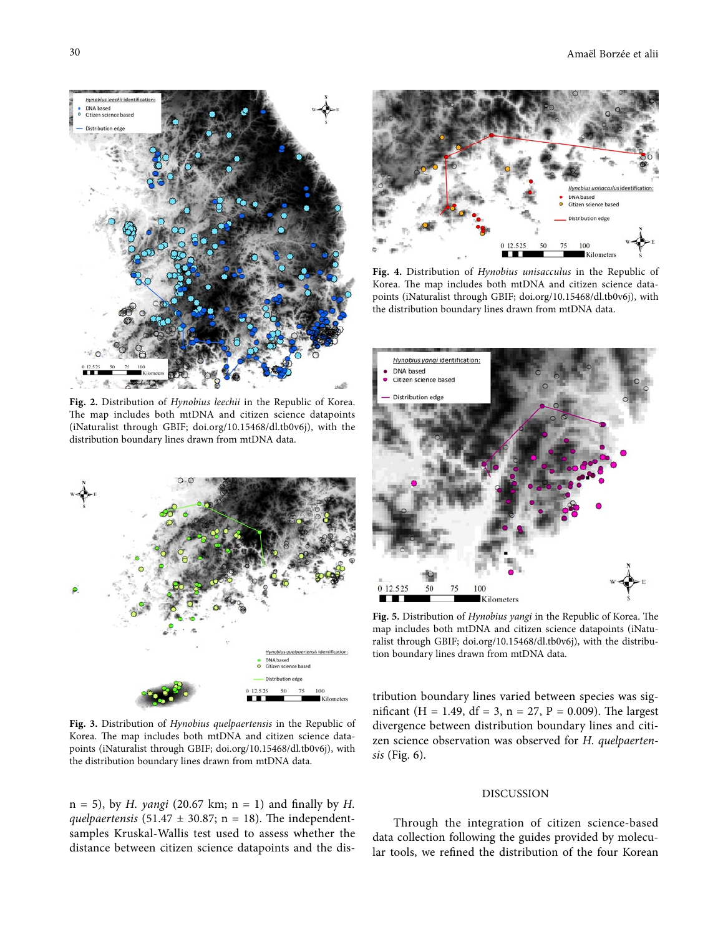

**Fig. 2.** Distribution of *Hynobius leechii* in the Republic of Korea. The map includes both mtDNA and citizen science datapoints (iNaturalist through GBIF; doi.org/10.15468/dl.tb0v6j), with the distribution boundary lines drawn from mtDNA data.



**Fig. 3.** Distribution of *Hynobius quelpaertensis* in the Republic of Korea. The map includes both mtDNA and citizen science datapoints (iNaturalist through GBIF; doi.org/10.15468/dl.tb0v6j), with the distribution boundary lines drawn from mtDNA data.

n = 5), by *H. yangi* (20.67 km; n = 1) and finally by *H. quelpaertensis* (51.47  $\pm$  30.87; n = 18). The independentsamples Kruskal-Wallis test used to assess whether the distance between citizen science datapoints and the dis-



**Fig. 4.** Distribution of *Hynobius unisacculus* in the Republic of Korea. The map includes both mtDNA and citizen science datapoints (iNaturalist through GBIF; doi.org/10.15468/dl.tb0v6j), with the distribution boundary lines drawn from mtDNA data.



**Fig. 5.** Distribution of *Hynobius yangi* in the Republic of Korea. The map includes both mtDNA and citizen science datapoints (iNaturalist through GBIF; doi.org/10.15468/dl.tb0v6j), with the distribution boundary lines drawn from mtDNA data.

tribution boundary lines varied between species was significant (H = 1.49, df = 3, n = 27, P = 0.009). The largest divergence between distribution boundary lines and citizen science observation was observed for *H. quelpaertensis* (Fig. 6).

## DISCUSSION

Through the integration of citizen science-based data collection following the guides provided by molecular tools, we refined the distribution of the four Korean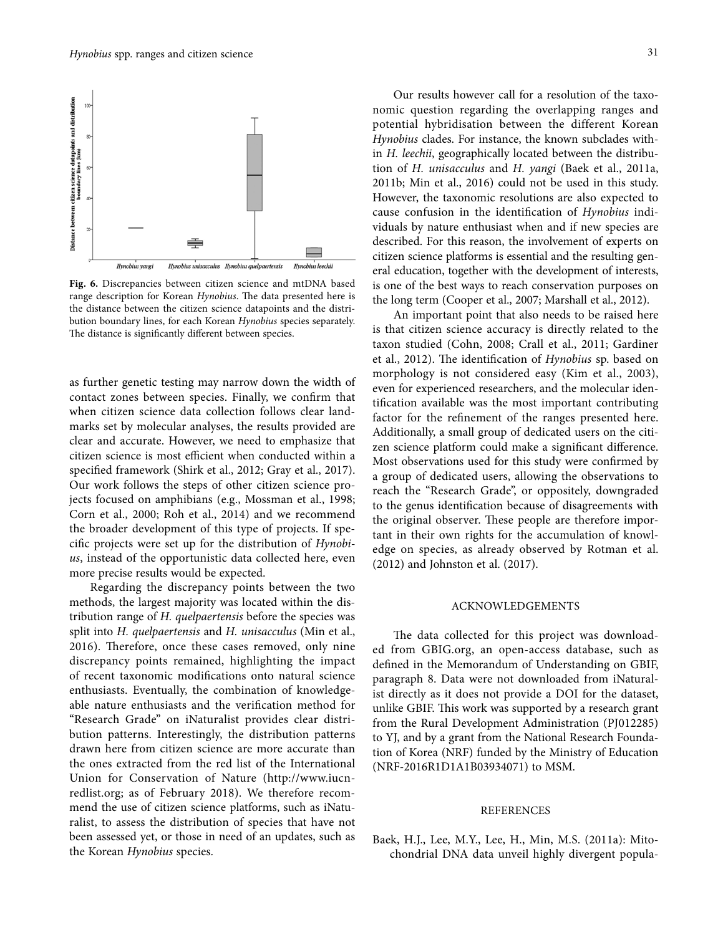

**Fig. 6.** Discrepancies between citizen science and mtDNA based range description for Korean *Hynobius*. The data presented here is the distance between the citizen science datapoints and the distribution boundary lines, for each Korean *Hynobius* species separately. The distance is significantly different between species.

as further genetic testing may narrow down the width of contact zones between species. Finally, we confirm that when citizen science data collection follows clear landmarks set by molecular analyses, the results provided are clear and accurate. However, we need to emphasize that citizen science is most efficient when conducted within a specified framework (Shirk et al., 2012; Gray et al., 2017). Our work follows the steps of other citizen science projects focused on amphibians (e.g., Mossman et al., 1998; Corn et al., 2000; Roh et al., 2014) and we recommend the broader development of this type of projects. If specific projects were set up for the distribution of *Hynobius*, instead of the opportunistic data collected here, even more precise results would be expected.

Regarding the discrepancy points between the two methods, the largest majority was located within the distribution range of *H. quelpaertensis* before the species was split into *H. quelpaertensis* and *H. unisacculus* (Min et al., 2016). Therefore, once these cases removed, only nine discrepancy points remained, highlighting the impact of recent taxonomic modifications onto natural science enthusiasts. Eventually, the combination of knowledgeable nature enthusiasts and the verification method for "Research Grade" on iNaturalist provides clear distribution patterns. Interestingly, the distribution patterns drawn here from citizen science are more accurate than the ones extracted from the red list of the International Union for Conservation of Nature (http://www.iucnredlist.org; as of February 2018). We therefore recommend the use of citizen science platforms, such as iNaturalist, to assess the distribution of species that have not been assessed yet, or those in need of an updates, such as the Korean *Hynobius* species.

Our results however call for a resolution of the taxonomic question regarding the overlapping ranges and potential hybridisation between the different Korean *Hynobius* clades. For instance, the known subclades within *H. leechii*, geographically located between the distribution of *H. unisacculus* and *H. yangi* (Baek et al., 2011a, 2011b; Min et al., 2016) could not be used in this study. However, the taxonomic resolutions are also expected to cause confusion in the identification of *Hynobius* individuals by nature enthusiast when and if new species are described. For this reason, the involvement of experts on citizen science platforms is essential and the resulting general education, together with the development of interests, is one of the best ways to reach conservation purposes on the long term (Cooper et al., 2007; Marshall et al., 2012).

An important point that also needs to be raised here is that citizen science accuracy is directly related to the taxon studied (Cohn, 2008; Crall et al., 2011; Gardiner et al., 2012). The identification of *Hynobius* sp. based on morphology is not considered easy (Kim et al., 2003), even for experienced researchers, and the molecular identification available was the most important contributing factor for the refinement of the ranges presented here. Additionally, a small group of dedicated users on the citizen science platform could make a significant difference. Most observations used for this study were confirmed by a group of dedicated users, allowing the observations to reach the "Research Grade", or oppositely, downgraded to the genus identification because of disagreements with the original observer. These people are therefore important in their own rights for the accumulation of knowledge on species, as already observed by Rotman et al. (2012) and Johnston et al. (2017).

# ACKNOWLEDGEMENTS

The data collected for this project was downloaded from GBIG.org, an open-access database, such as defined in the Memorandum of Understanding on GBIF, paragraph 8. Data were not downloaded from iNaturalist directly as it does not provide a DOI for the dataset, unlike GBIF. This work was supported by a research grant from the Rural Development Administration (PJ012285) to YJ, and by a grant from the National Research Foundation of Korea (NRF) funded by the Ministry of Education (NRF-2016R1D1A1B03934071) to MSM.

## REFERENCES

Baek, H.J., Lee, M.Y., Lee, H., Min, M.S. (2011a): Mitochondrial DNA data unveil highly divergent popula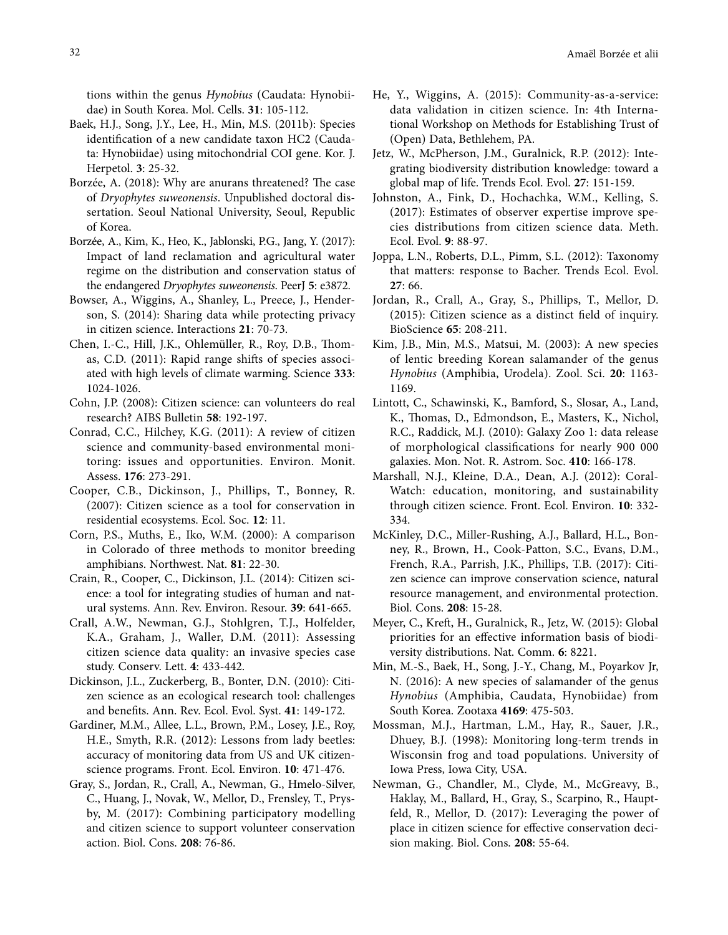tions within the genus *Hynobius* (Caudata: Hynobiidae) in South Korea. Mol. Cells. **31**: 105-112.

- Baek, H.J., Song, J.Y., Lee, H., Min, M.S. (2011b): Species identification of a new candidate taxon HC2 (Caudata: Hynobiidae) using mitochondrial COI gene. Kor. J. Herpetol. **3**: 25-32.
- Borzée, A. (2018): Why are anurans threatened? The case of *Dryophytes suweonensis*. Unpublished doctoral dissertation. Seoul National University, Seoul, Republic of Korea.
- Borzée, A., Kim, K., Heo, K., Jablonski, P.G., Jang, Y. (2017): Impact of land reclamation and agricultural water regime on the distribution and conservation status of the endangered *Dryophytes suweonensis*. PeerJ **5**: e3872.
- Bowser, A., Wiggins, A., Shanley, L., Preece, J., Henderson, S. (2014): Sharing data while protecting privacy in citizen science. Interactions **21**: 70-73.
- Chen, I.-C., Hill, J.K., Ohlemüller, R., Roy, D.B., Thomas, C.D. (2011): Rapid range shifts of species associated with high levels of climate warming. Science **333**: 1024-1026.
- Cohn, J.P. (2008): Citizen science: can volunteers do real research? AIBS Bulletin **58**: 192-197.
- Conrad, C.C., Hilchey, K.G. (2011): A review of citizen science and community-based environmental monitoring: issues and opportunities. Environ. Monit. Assess. **176**: 273-291.
- Cooper, C.B., Dickinson, J., Phillips, T., Bonney, R. (2007): Citizen science as a tool for conservation in residential ecosystems. Ecol. Soc. **12**: 11.
- Corn, P.S., Muths, E., Iko, W.M. (2000): A comparison in Colorado of three methods to monitor breeding amphibians. Northwest. Nat. **81**: 22-30.
- Crain, R., Cooper, C., Dickinson, J.L. (2014): Citizen science: a tool for integrating studies of human and natural systems. Ann. Rev. Environ. Resour. **39**: 641-665.
- Crall, A.W., Newman, G.J., Stohlgren, T.J., Holfelder, K.A., Graham, J., Waller, D.M. (2011): Assessing citizen science data quality: an invasive species case study. Conserv. Lett. **4**: 433-442.
- Dickinson, J.L., Zuckerberg, B., Bonter, D.N. (2010): Citizen science as an ecological research tool: challenges and benefits. Ann. Rev. Ecol. Evol. Syst. **41**: 149-172.
- Gardiner, M.M., Allee, L.L., Brown, P.M., Losey, J.E., Roy, H.E., Smyth, R.R. (2012): Lessons from lady beetles: accuracy of monitoring data from US and UK citizenscience programs. Front. Ecol. Environ. **10**: 471-476.
- Gray, S., Jordan, R., Crall, A., Newman, G., Hmelo-Silver, C., Huang, J., Novak, W., Mellor, D., Frensley, T., Prysby, M. (2017): Combining participatory modelling and citizen science to support volunteer conservation action. Biol. Cons. **208**: 76-86.
- He, Y., Wiggins, A. (2015): Community-as-a-service: data validation in citizen science. In: 4th International Workshop on Methods for Establishing Trust of (Open) Data, Bethlehem, PA.
- Jetz, W., McPherson, J.M., Guralnick, R.P. (2012): Integrating biodiversity distribution knowledge: toward a global map of life. Trends Ecol. Evol. **27**: 151-159.
- Johnston, A., Fink, D., Hochachka, W.M., Kelling, S. (2017): Estimates of observer expertise improve species distributions from citizen science data. Meth. Ecol. Evol. **9**: 88-97.
- Joppa, L.N., Roberts, D.L., Pimm, S.L. (2012): Taxonomy that matters: response to Bacher. Trends Ecol. Evol. **27**: 66.
- Jordan, R., Crall, A., Gray, S., Phillips, T., Mellor, D. (2015): Citizen science as a distinct field of inquiry. BioScience **65**: 208-211.
- Kim, J.B., Min, M.S., Matsui, M. (2003): A new species of lentic breeding Korean salamander of the genus *Hynobius* (Amphibia, Urodela). Zool. Sci. **20**: 1163- 1169.
- Lintott, C., Schawinski, K., Bamford, S., Slosar, A., Land, K., Thomas, D., Edmondson, E., Masters, K., Nichol, R.C., Raddick, M.J. (2010): Galaxy Zoo 1: data release of morphological classifications for nearly 900 000 galaxies. Mon. Not. R. Astrom. Soc. **410**: 166-178.
- Marshall, N.J., Kleine, D.A., Dean, A.J. (2012): Coral-Watch: education, monitoring, and sustainability through citizen science. Front. Ecol. Environ. **10**: 332- 334.
- McKinley, D.C., Miller-Rushing, A.J., Ballard, H.L., Bonney, R., Brown, H., Cook-Patton, S.C., Evans, D.M., French, R.A., Parrish, J.K., Phillips, T.B. (2017): Citizen science can improve conservation science, natural resource management, and environmental protection. Biol. Cons. **208**: 15-28.
- Meyer, C., Kreft, H., Guralnick, R., Jetz, W. (2015): Global priorities for an effective information basis of biodiversity distributions. Nat. Comm. **6**: 8221.
- Min, M.-S., Baek, H., Song, J.-Y., Chang, M., Poyarkov Jr, N. (2016): A new species of salamander of the genus *Hynobius* (Amphibia, Caudata, Hynobiidae) from South Korea. Zootaxa **4169**: 475-503.
- Mossman, M.J., Hartman, L.M., Hay, R., Sauer, J.R., Dhuey, B.J. (1998): Monitoring long-term trends in Wisconsin frog and toad populations. University of Iowa Press, Iowa City, USA.
- Newman, G., Chandler, M., Clyde, M., McGreavy, B., Haklay, M., Ballard, H., Gray, S., Scarpino, R., Hauptfeld, R., Mellor, D. (2017): Leveraging the power of place in citizen science for effective conservation decision making. Biol. Cons. **208**: 55-64.